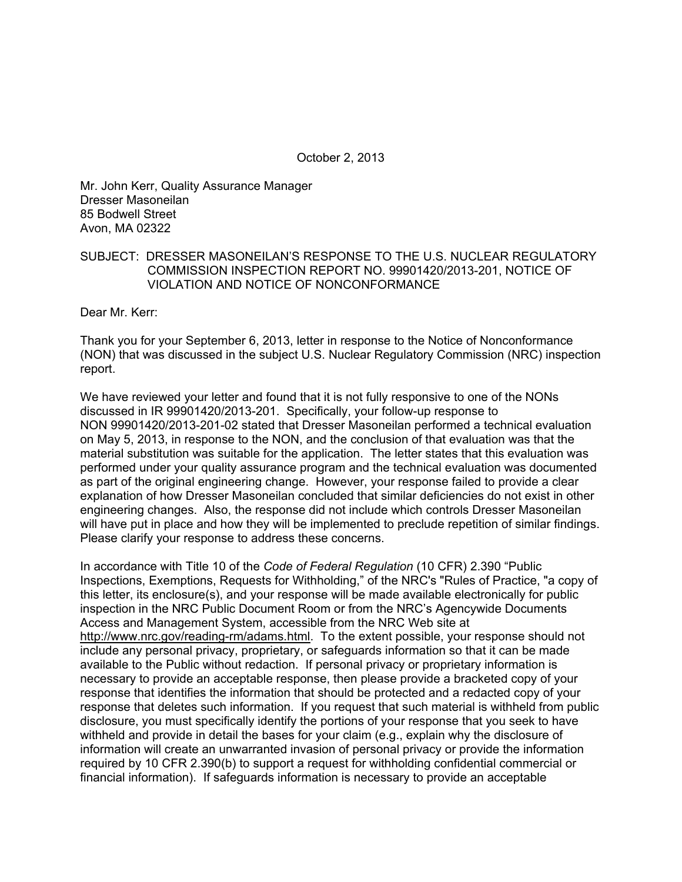October 2, 2013

Mr. John Kerr, Quality Assurance Manager Dresser Masoneilan 85 Bodwell Street Avon, MA 02322

## SUBJECT: DRESSER MASONEILAN'S RESPONSE TO THE U.S. NUCLEAR REGULATORY COMMISSION INSPECTION REPORT NO. 99901420/2013-201, NOTICE OF VIOLATION AND NOTICE OF NONCONFORMANCE

Dear Mr. Kerr:

Thank you for your September 6, 2013, letter in response to the Notice of Nonconformance (NON) that was discussed in the subject U.S. Nuclear Regulatory Commission (NRC) inspection report.

We have reviewed your letter and found that it is not fully responsive to one of the NONs discussed in IR 99901420/2013-201. Specifically, your follow-up response to NON 99901420/2013-201-02 stated that Dresser Masoneilan performed a technical evaluation on May 5, 2013, in response to the NON, and the conclusion of that evaluation was that the material substitution was suitable for the application. The letter states that this evaluation was performed under your quality assurance program and the technical evaluation was documented as part of the original engineering change. However, your response failed to provide a clear explanation of how Dresser Masoneilan concluded that similar deficiencies do not exist in other engineering changes. Also, the response did not include which controls Dresser Masoneilan will have put in place and how they will be implemented to preclude repetition of similar findings. Please clarify your response to address these concerns.

In accordance with Title 10 of the *Code of Federal Regulation* (10 CFR) 2.390 "Public Inspections, Exemptions, Requests for Withholding," of the NRC's "Rules of Practice, "a copy of this letter, its enclosure(s), and your response will be made available electronically for public inspection in the NRC Public Document Room or from the NRC's Agencywide Documents Access and Management System, accessible from the NRC Web site at http://www.nrc.gov/reading-rm/adams.html. To the extent possible, your response should not include any personal privacy, proprietary, or safeguards information so that it can be made available to the Public without redaction. If personal privacy or proprietary information is necessary to provide an acceptable response, then please provide a bracketed copy of your response that identifies the information that should be protected and a redacted copy of your response that deletes such information. If you request that such material is withheld from public disclosure, you must specifically identify the portions of your response that you seek to have withheld and provide in detail the bases for your claim (e.g., explain why the disclosure of information will create an unwarranted invasion of personal privacy or provide the information required by 10 CFR 2.390(b) to support a request for withholding confidential commercial or financial information). If safeguards information is necessary to provide an acceptable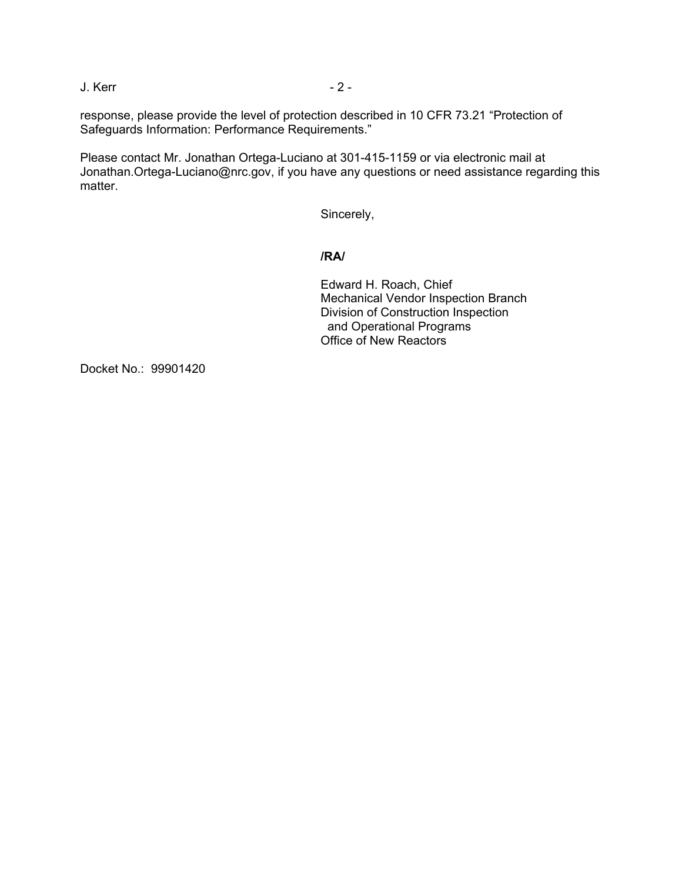J. Kerr - 2 -

response, please provide the level of protection described in 10 CFR 73.21 "Protection of Safeguards Information: Performance Requirements."

Please contact Mr. Jonathan Ortega-Luciano at 301-415-1159 or via electronic mail at Jonathan.Ortega-Luciano@nrc.gov, if you have any questions or need assistance regarding this matter.

Sincerely,

## **/RA/**

Edward H. Roach, Chief Mechanical Vendor Inspection Branch Division of Construction Inspection and Operational Programs Office of New Reactors

Docket No.: 99901420